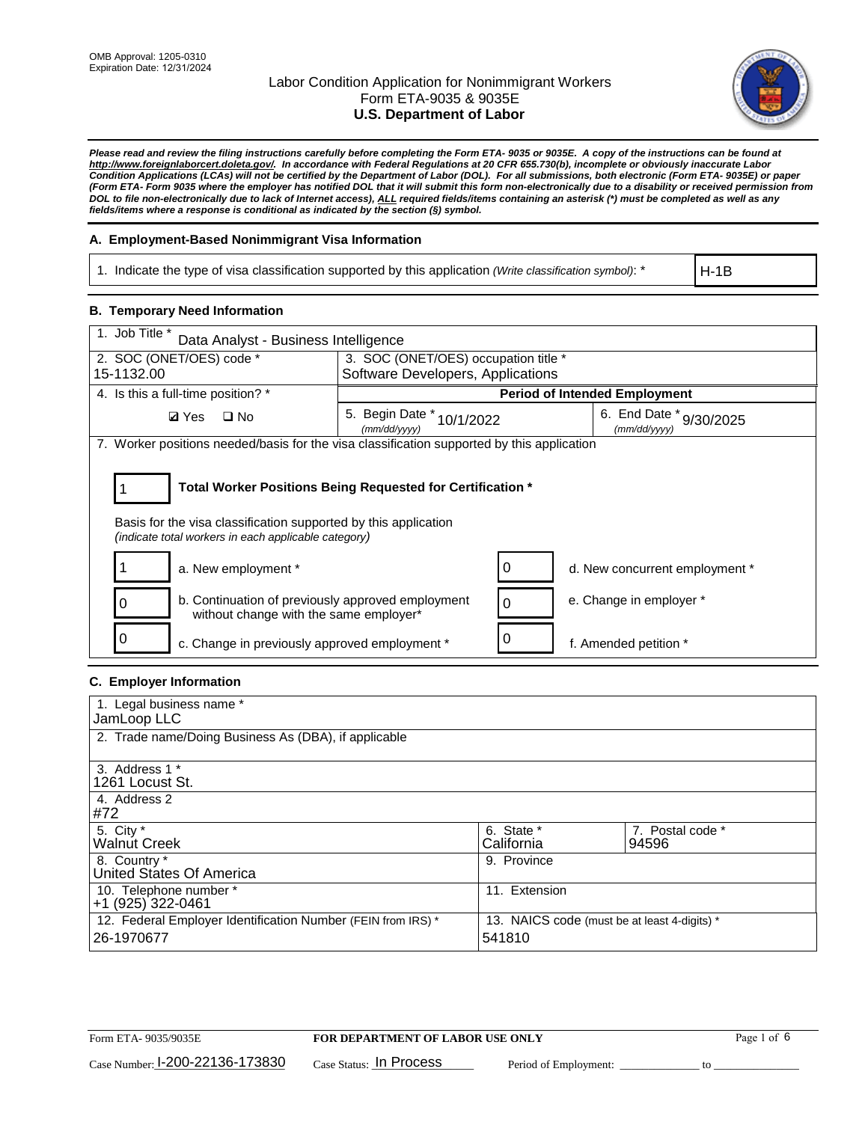

*Please read and review the filing instructions carefully before completing the Form ETA- 9035 or 9035E. A copy of the instructions can be found at [http://www.foreignlaborcert.doleta.gov/.](http://www.foreignlaborcert.doleta.gov/) In accordance with Federal Regulations at 20 CFR 655.730(b), incomplete or obviously inaccurate Labor Condition Applications (LCAs) will not be certified by the Department of Labor (DOL). For all submissions, both electronic (Form ETA- 9035E) or paper (Form ETA- Form 9035 where the employer has notified DOL that it will submit this form non-electronically due to a disability or received permission from DOL to file non-electronically due to lack of Internet access), ALL required fields/items containing an asterisk (\*) must be completed as well as any fields/items where a response is conditional as indicated by the section (§) symbol.* 

### **A. Employment-Based Nonimmigrant Visa Information**

1. Indicate the type of visa classification supported by this application *(Write classification symbol)*: \*

H-1B

### **B. Temporary Need Information**

| 1. Job Title *<br>Data Analyst - Business Intelligence                                                                                                                                |                                           |   |                                             |  |  |
|---------------------------------------------------------------------------------------------------------------------------------------------------------------------------------------|-------------------------------------------|---|---------------------------------------------|--|--|
| 2. SOC (ONET/OES) code *                                                                                                                                                              | 3. SOC (ONET/OES) occupation title *      |   |                                             |  |  |
| 15-1132.00                                                                                                                                                                            | Software Developers, Applications         |   |                                             |  |  |
| 4. Is this a full-time position? *                                                                                                                                                    |                                           |   | <b>Period of Intended Employment</b>        |  |  |
| <b>Ø</b> Yes<br>$\Box$ No                                                                                                                                                             | 5. Begin Date * 10/1/2022<br>(mm/dd/yyyy) |   | 6. End Date $*_{9/30/2025}$<br>(mm/dd/vvvv) |  |  |
| 7. Worker positions needed/basis for the visa classification supported by this application                                                                                            |                                           |   |                                             |  |  |
| Total Worker Positions Being Requested for Certification *<br>Basis for the visa classification supported by this application<br>(indicate total workers in each applicable category) |                                           |   |                                             |  |  |
| a. New employment *                                                                                                                                                                   |                                           | 0 | d. New concurrent employment *              |  |  |
| b. Continuation of previously approved employment<br>without change with the same employer*                                                                                           |                                           |   | e. Change in employer *                     |  |  |
| c. Change in previously approved employment *                                                                                                                                         |                                           |   | f. Amended petition *                       |  |  |

#### **C. Employer Information**

| 1. Legal business name *                                     |                                              |                  |
|--------------------------------------------------------------|----------------------------------------------|------------------|
| JamLoop LLC                                                  |                                              |                  |
| 2. Trade name/Doing Business As (DBA), if applicable         |                                              |                  |
|                                                              |                                              |                  |
| 3. Address 1 *                                               |                                              |                  |
| 1261 Locust St.                                              |                                              |                  |
| 4. Address 2                                                 |                                              |                  |
| #72                                                          |                                              |                  |
| 5. City *                                                    | 6. State *                                   | 7. Postal code * |
| <b>Walnut Creek</b>                                          | California                                   | 94596            |
| 8. Country *                                                 | 9. Province                                  |                  |
| United States Of America                                     |                                              |                  |
| 10. Telephone number *                                       | 11. Extension                                |                  |
| +1 (925) 322-0461                                            |                                              |                  |
| 12. Federal Employer Identification Number (FEIN from IRS) * | 13. NAICS code (must be at least 4-digits) * |                  |
| 26-1970677                                                   | 541810                                       |                  |
|                                                              |                                              |                  |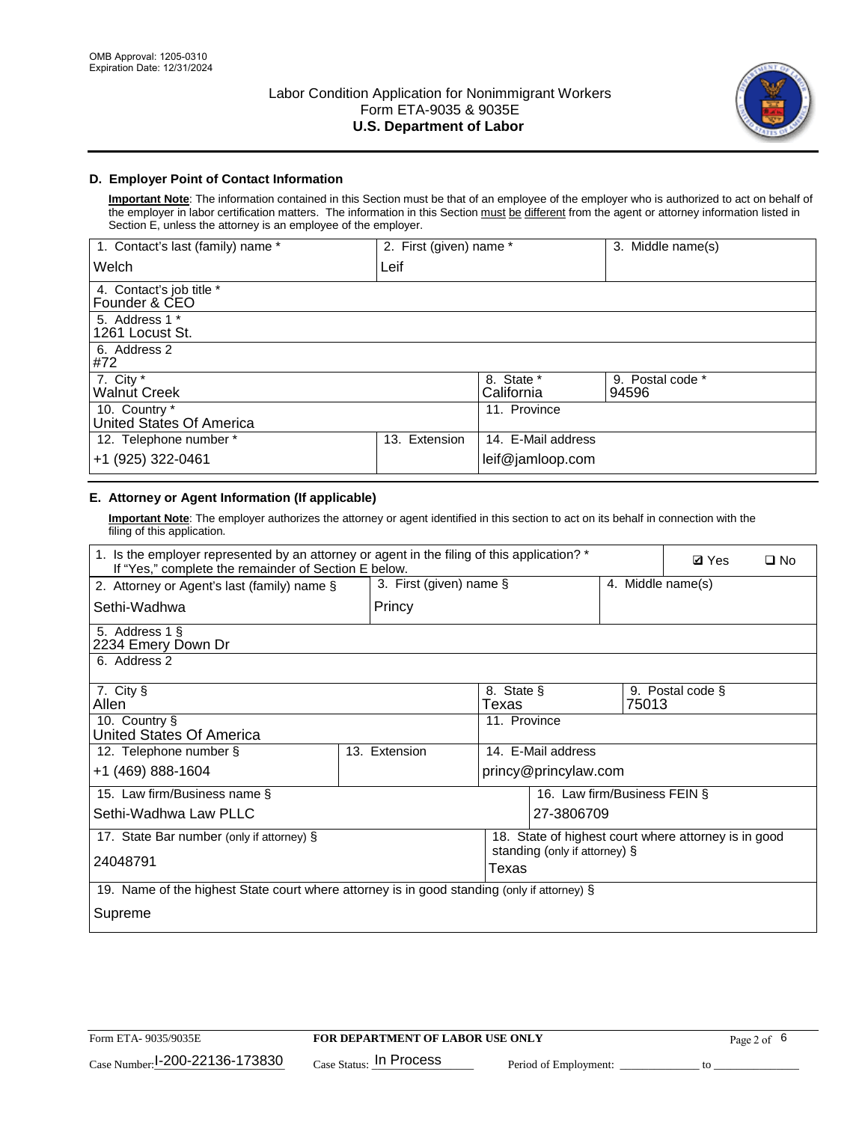

### **D. Employer Point of Contact Information**

**Important Note**: The information contained in this Section must be that of an employee of the employer who is authorized to act on behalf of the employer in labor certification matters. The information in this Section must be different from the agent or attorney information listed in Section E, unless the attorney is an employee of the employer.

| 1. Contact's last (family) name *         | 2. First (given) name * |                          | 3. Middle name(s)         |
|-------------------------------------------|-------------------------|--------------------------|---------------------------|
| Welch                                     | Leif                    |                          |                           |
| 4. Contact's job title *<br>Founder & CEO |                         |                          |                           |
| 5. Address 1 *<br>1261 Locust St.         |                         |                          |                           |
| 6. Address 2<br>#72                       |                         |                          |                           |
| 7. City $*$<br><b>Walnut Creek</b>        |                         | 8. State *<br>California | 9. Postal code *<br>94596 |
| 10. Country *<br>United States Of America |                         | 11. Province             |                           |
| 12. Telephone number *                    | Extension<br>13.        | 14. E-Mail address       |                           |
| +1 (925) 322-0461                         |                         | leif@jamloop.com         |                           |

## **E. Attorney or Agent Information (If applicable)**

**Important Note**: The employer authorizes the attorney or agent identified in this section to act on its behalf in connection with the filing of this application.

| 1. Is the employer represented by an attorney or agent in the filing of this application? *<br>If "Yes," complete the remainder of Section E below. |  |               |              |                              |  |  | <b>Ø</b> Yes      | $\square$ No |
|-----------------------------------------------------------------------------------------------------------------------------------------------------|--|---------------|--------------|------------------------------|--|--|-------------------|--------------|
| 3. First (given) name §<br>2. Attorney or Agent's last (family) name §                                                                              |  |               |              |                              |  |  | 4. Middle name(s) |              |
| Princy<br>Sethi-Wadhwa                                                                                                                              |  |               |              |                              |  |  |                   |              |
| 5. Address 1 §<br>2234 Emery Down Dr                                                                                                                |  |               |              |                              |  |  |                   |              |
| 6. Address 2                                                                                                                                        |  |               |              |                              |  |  |                   |              |
| 7. City §<br>8. State §<br>9. Postal code §<br>Allen<br>Texas<br>75013                                                                              |  |               |              |                              |  |  |                   |              |
| 10. Country §<br>United States Of America                                                                                                           |  |               | 11. Province |                              |  |  |                   |              |
| 12. Telephone number §                                                                                                                              |  | 13. Extension |              | 14. E-Mail address           |  |  |                   |              |
| +1 (469) 888-1604                                                                                                                                   |  |               |              | princy@princylaw.com         |  |  |                   |              |
| 15. Law firm/Business name §                                                                                                                        |  |               |              | 16. Law firm/Business FEIN § |  |  |                   |              |
| Sethi-Wadhwa Law PLLC                                                                                                                               |  |               |              | 27-3806709                   |  |  |                   |              |
| 17. State Bar number (only if attorney) §<br>18. State of highest court where attorney is in good<br>standing (only if attorney) §                  |  |               |              |                              |  |  |                   |              |
| 24048791<br>Texas                                                                                                                                   |  |               |              |                              |  |  |                   |              |
| 19. Name of the highest State court where attorney is in good standing (only if attorney) §                                                         |  |               |              |                              |  |  |                   |              |
| Supreme                                                                                                                                             |  |               |              |                              |  |  |                   |              |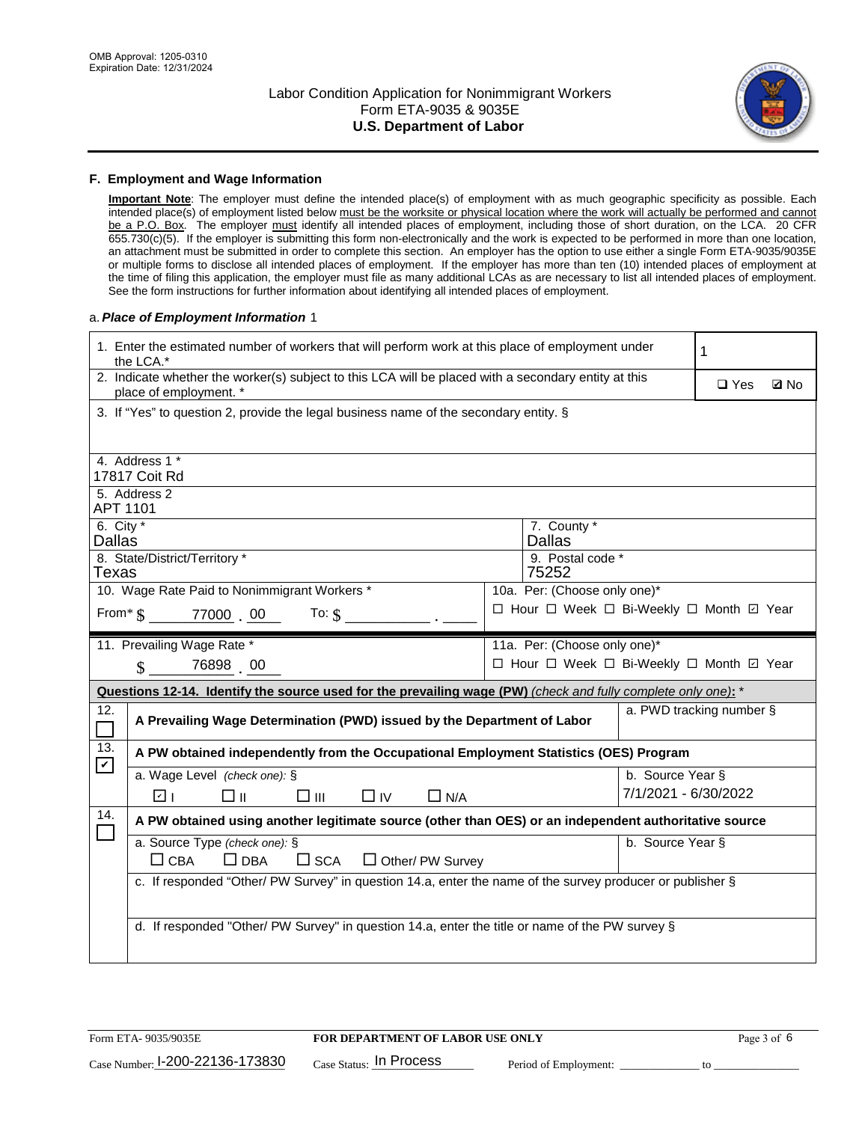

#### **F. Employment and Wage Information**

**Important Note**: The employer must define the intended place(s) of employment with as much geographic specificity as possible. Each intended place(s) of employment listed below must be the worksite or physical location where the work will actually be performed and cannot be a P.O. Box. The employer must identify all intended places of employment, including those of short duration, on the LCA. 20 CFR 655.730(c)(5). If the employer is submitting this form non-electronically and the work is expected to be performed in more than one location, an attachment must be submitted in order to complete this section. An employer has the option to use either a single Form ETA-9035/9035E or multiple forms to disclose all intended places of employment. If the employer has more than ten (10) intended places of employment at the time of filing this application, the employer must file as many additional LCAs as are necessary to list all intended places of employment. See the form instructions for further information about identifying all intended places of employment.

#### a.*Place of Employment Information* 1

|                                                                              | 1. Enter the estimated number of workers that will perform work at this place of employment under<br>the LCA.*                 |  | 1                                        |                      |                          |  |  |  |
|------------------------------------------------------------------------------|--------------------------------------------------------------------------------------------------------------------------------|--|------------------------------------------|----------------------|--------------------------|--|--|--|
|                                                                              | 2. Indicate whether the worker(s) subject to this LCA will be placed with a secondary entity at this<br>place of employment. * |  | $\square$ Yes                            | <b>Z</b> No          |                          |  |  |  |
|                                                                              | 3. If "Yes" to question 2, provide the legal business name of the secondary entity. §                                          |  |                                          |                      |                          |  |  |  |
|                                                                              | 4. Address 1 *                                                                                                                 |  |                                          |                      |                          |  |  |  |
|                                                                              | 17817 Coit Rd                                                                                                                  |  |                                          |                      |                          |  |  |  |
| APT 1101                                                                     | 5. Address 2                                                                                                                   |  |                                          |                      |                          |  |  |  |
| 6. City $*$<br>Dallas                                                        |                                                                                                                                |  | 7. County *<br><b>Dallas</b>             |                      |                          |  |  |  |
|                                                                              | 8. State/District/Territory *                                                                                                  |  | 9. Postal code *                         |                      |                          |  |  |  |
| Texas                                                                        |                                                                                                                                |  | 75252                                    |                      |                          |  |  |  |
| 10. Wage Rate Paid to Nonimmigrant Workers *<br>10a. Per: (Choose only one)* |                                                                                                                                |  |                                          |                      |                          |  |  |  |
|                                                                              | □ Hour □ Week □ Bi-Weekly □ Month □ Year<br>From $\frac{1}{5}$ 77000 00<br>To: $\S$                                            |  |                                          |                      |                          |  |  |  |
|                                                                              | 11. Prevailing Wage Rate *                                                                                                     |  | 11a. Per: (Choose only one)*             |                      |                          |  |  |  |
|                                                                              | 76898 00<br>$\mathbf{\hat{S}}$                                                                                                 |  | □ Hour □ Week □ Bi-Weekly □ Month 回 Year |                      |                          |  |  |  |
|                                                                              | Questions 12-14. Identify the source used for the prevailing wage (PW) (check and fully complete only one): *                  |  |                                          |                      |                          |  |  |  |
| 12.<br>$\overline{\phantom{0}}$                                              | A Prevailing Wage Determination (PWD) issued by the Department of Labor                                                        |  |                                          |                      | a. PWD tracking number § |  |  |  |
| 13.<br>$\blacktriangledown$                                                  | A PW obtained independently from the Occupational Employment Statistics (OES) Program                                          |  |                                          |                      |                          |  |  |  |
|                                                                              | a. Wage Level (check one): §                                                                                                   |  |                                          | b. Source Year §     |                          |  |  |  |
|                                                                              | v <br>$\Box$ IV<br>□⊪<br>□Ⅲ<br>$\Box$ N/A                                                                                      |  |                                          | 7/1/2021 - 6/30/2022 |                          |  |  |  |
| 14.                                                                          | A PW obtained using another legitimate source (other than OES) or an independent authoritative source                          |  |                                          |                      |                          |  |  |  |
|                                                                              | a. Source Type (check one): §                                                                                                  |  |                                          | b. Source Year §     |                          |  |  |  |
|                                                                              | $\Box$ CBA<br>$\Box$ DBA<br>$\square$ SCA<br>$\Box$ Other/ PW Survey                                                           |  |                                          |                      |                          |  |  |  |
|                                                                              | c. If responded "Other/ PW Survey" in question 14.a, enter the name of the survey producer or publisher §                      |  |                                          |                      |                          |  |  |  |
|                                                                              |                                                                                                                                |  |                                          |                      |                          |  |  |  |
|                                                                              | d. If responded "Other/ PW Survey" in question 14.a, enter the title or name of the PW survey §                                |  |                                          |                      |                          |  |  |  |
|                                                                              |                                                                                                                                |  |                                          |                      |                          |  |  |  |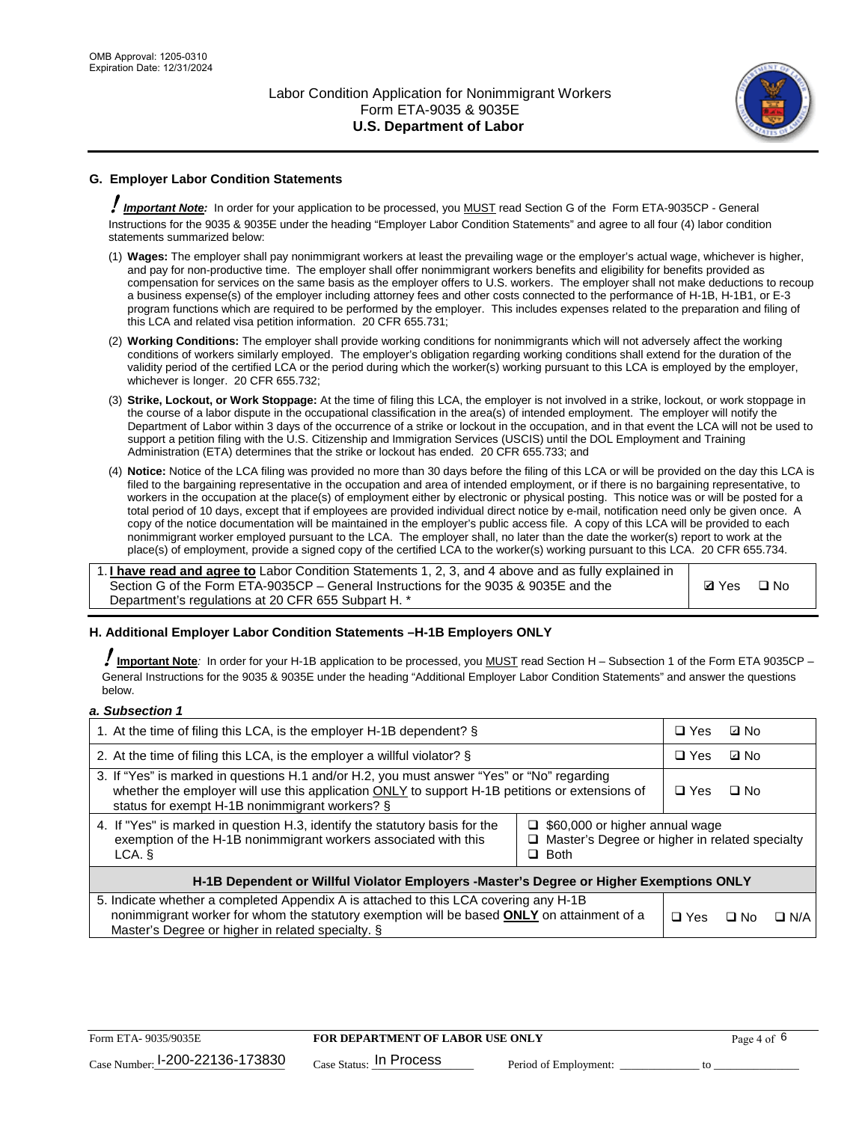

## **G. Employer Labor Condition Statements**

! *Important Note:* In order for your application to be processed, you MUST read Section G of the Form ETA-9035CP - General Instructions for the 9035 & 9035E under the heading "Employer Labor Condition Statements" and agree to all four (4) labor condition statements summarized below:

- (1) **Wages:** The employer shall pay nonimmigrant workers at least the prevailing wage or the employer's actual wage, whichever is higher, and pay for non-productive time. The employer shall offer nonimmigrant workers benefits and eligibility for benefits provided as compensation for services on the same basis as the employer offers to U.S. workers. The employer shall not make deductions to recoup a business expense(s) of the employer including attorney fees and other costs connected to the performance of H-1B, H-1B1, or E-3 program functions which are required to be performed by the employer. This includes expenses related to the preparation and filing of this LCA and related visa petition information. 20 CFR 655.731;
- (2) **Working Conditions:** The employer shall provide working conditions for nonimmigrants which will not adversely affect the working conditions of workers similarly employed. The employer's obligation regarding working conditions shall extend for the duration of the validity period of the certified LCA or the period during which the worker(s) working pursuant to this LCA is employed by the employer, whichever is longer. 20 CFR 655.732;
- (3) **Strike, Lockout, or Work Stoppage:** At the time of filing this LCA, the employer is not involved in a strike, lockout, or work stoppage in the course of a labor dispute in the occupational classification in the area(s) of intended employment. The employer will notify the Department of Labor within 3 days of the occurrence of a strike or lockout in the occupation, and in that event the LCA will not be used to support a petition filing with the U.S. Citizenship and Immigration Services (USCIS) until the DOL Employment and Training Administration (ETA) determines that the strike or lockout has ended. 20 CFR 655.733; and
- (4) **Notice:** Notice of the LCA filing was provided no more than 30 days before the filing of this LCA or will be provided on the day this LCA is filed to the bargaining representative in the occupation and area of intended employment, or if there is no bargaining representative, to workers in the occupation at the place(s) of employment either by electronic or physical posting. This notice was or will be posted for a total period of 10 days, except that if employees are provided individual direct notice by e-mail, notification need only be given once. A copy of the notice documentation will be maintained in the employer's public access file. A copy of this LCA will be provided to each nonimmigrant worker employed pursuant to the LCA. The employer shall, no later than the date the worker(s) report to work at the place(s) of employment, provide a signed copy of the certified LCA to the worker(s) working pursuant to this LCA. 20 CFR 655.734.

1. **I have read and agree to** Labor Condition Statements 1, 2, 3, and 4 above and as fully explained in Section G of the Form ETA-9035CP – General Instructions for the 9035 & 9035E and the Department's regulations at 20 CFR 655 Subpart H. \*

**Ø**Yes ロNo

#### **H. Additional Employer Labor Condition Statements –H-1B Employers ONLY**

!**Important Note***:* In order for your H-1B application to be processed, you MUST read Section H – Subsection 1 of the Form ETA 9035CP – General Instructions for the 9035 & 9035E under the heading "Additional Employer Labor Condition Statements" and answer the questions below.

#### *a. Subsection 1*

| 1. At the time of filing this LCA, is the employer H-1B dependent? §                                                                                                                                                                                                    | $\Box$ Yes | ⊡ No       |            |  |
|-------------------------------------------------------------------------------------------------------------------------------------------------------------------------------------------------------------------------------------------------------------------------|------------|------------|------------|--|
| 2. At the time of filing this LCA, is the employer a willful violator? $\S$                                                                                                                                                                                             |            | $\Box$ Yes | ⊡ No       |  |
| 3. If "Yes" is marked in questions H.1 and/or H.2, you must answer "Yes" or "No" regarding<br>whether the employer will use this application ONLY to support H-1B petitions or extensions of<br>status for exempt H-1B nonimmigrant workers? §                          | $\Box$ Yes | $\Box$ No  |            |  |
| 4. If "Yes" is marked in question H.3, identify the statutory basis for the<br>$\Box$ \$60,000 or higher annual wage<br>exemption of the H-1B nonimmigrant workers associated with this<br>$\Box$ Master's Degree or higher in related specialty<br>$\Box$ Both<br>LCA. |            |            |            |  |
| H-1B Dependent or Willful Violator Employers -Master's Degree or Higher Exemptions ONLY                                                                                                                                                                                 |            |            |            |  |
| 5. Indicate whether a completed Appendix A is attached to this LCA covering any H-1B<br>nonimmigrant worker for whom the statutory exemption will be based <b>ONLY</b> on attainment of a<br>Master's Degree or higher in related specialty. §                          | $\Box$ Yes | ⊡ No       | $\Box$ N/A |  |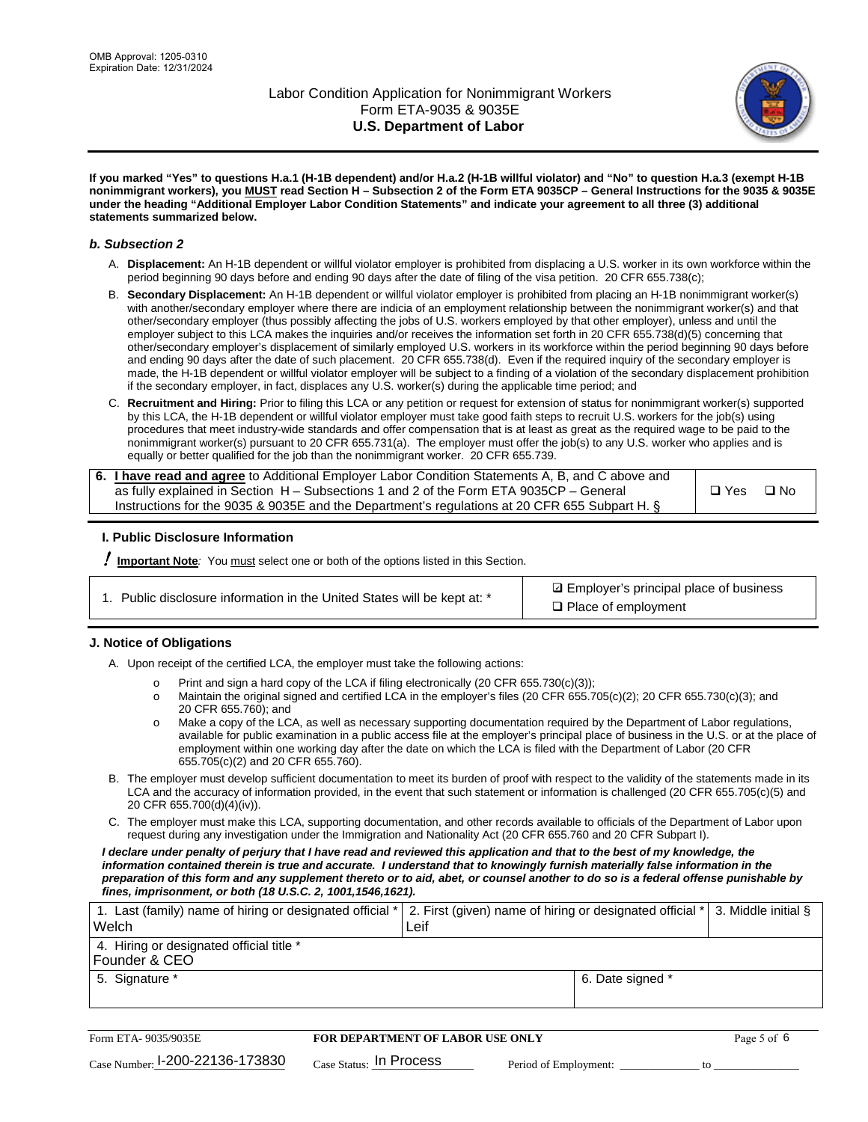

**If you marked "Yes" to questions H.a.1 (H-1B dependent) and/or H.a.2 (H-1B willful violator) and "No" to question H.a.3 (exempt H-1B nonimmigrant workers), you MUST read Section H – Subsection 2 of the Form ETA 9035CP – General Instructions for the 9035 & 9035E under the heading "Additional Employer Labor Condition Statements" and indicate your agreement to all three (3) additional statements summarized below.**

#### *b. Subsection 2*

- A. **Displacement:** An H-1B dependent or willful violator employer is prohibited from displacing a U.S. worker in its own workforce within the period beginning 90 days before and ending 90 days after the date of filing of the visa petition. 20 CFR 655.738(c);
- B. **Secondary Displacement:** An H-1B dependent or willful violator employer is prohibited from placing an H-1B nonimmigrant worker(s) with another/secondary employer where there are indicia of an employment relationship between the nonimmigrant worker(s) and that other/secondary employer (thus possibly affecting the jobs of U.S. workers employed by that other employer), unless and until the employer subject to this LCA makes the inquiries and/or receives the information set forth in 20 CFR 655.738(d)(5) concerning that other/secondary employer's displacement of similarly employed U.S. workers in its workforce within the period beginning 90 days before and ending 90 days after the date of such placement. 20 CFR 655.738(d). Even if the required inquiry of the secondary employer is made, the H-1B dependent or willful violator employer will be subject to a finding of a violation of the secondary displacement prohibition if the secondary employer, in fact, displaces any U.S. worker(s) during the applicable time period; and
- C. **Recruitment and Hiring:** Prior to filing this LCA or any petition or request for extension of status for nonimmigrant worker(s) supported by this LCA, the H-1B dependent or willful violator employer must take good faith steps to recruit U.S. workers for the job(s) using procedures that meet industry-wide standards and offer compensation that is at least as great as the required wage to be paid to the nonimmigrant worker(s) pursuant to 20 CFR 655.731(a). The employer must offer the job(s) to any U.S. worker who applies and is equally or better qualified for the job than the nonimmigrant worker. 20 CFR 655.739.

| 6. I have read and agree to Additional Employer Labor Condition Statements A, B, and C above and |       |           |
|--------------------------------------------------------------------------------------------------|-------|-----------|
| as fully explained in Section H – Subsections 1 and 2 of the Form ETA 9035CP – General           | □ Yes | $\Box$ No |
| Instructions for the 9035 & 9035E and the Department's regulations at 20 CFR 655 Subpart H. §    |       |           |

#### **I. Public Disclosure Information**

! **Important Note***:* You must select one or both of the options listed in this Section.

|  | 1. Public disclosure information in the United States will be kept at: * |  |  |  |
|--|--------------------------------------------------------------------------|--|--|--|
|  |                                                                          |  |  |  |

**sqrt** Employer's principal place of business □ Place of employment

#### **J. Notice of Obligations**

A. Upon receipt of the certified LCA, the employer must take the following actions:

- o Print and sign a hard copy of the LCA if filing electronically (20 CFR 655.730(c)(3));<br>
Maintain the original signed and certified LCA in the employer's files (20 CFR 655.7
- Maintain the original signed and certified LCA in the employer's files (20 CFR 655.705(c)(2); 20 CFR 655.730(c)(3); and 20 CFR 655.760); and
- o Make a copy of the LCA, as well as necessary supporting documentation required by the Department of Labor regulations, available for public examination in a public access file at the employer's principal place of business in the U.S. or at the place of employment within one working day after the date on which the LCA is filed with the Department of Labor (20 CFR 655.705(c)(2) and 20 CFR 655.760).
- B. The employer must develop sufficient documentation to meet its burden of proof with respect to the validity of the statements made in its LCA and the accuracy of information provided, in the event that such statement or information is challenged (20 CFR 655.705(c)(5) and 20 CFR 655.700(d)(4)(iv)).
- C. The employer must make this LCA, supporting documentation, and other records available to officials of the Department of Labor upon request during any investigation under the Immigration and Nationality Act (20 CFR 655.760 and 20 CFR Subpart I).

*I declare under penalty of perjury that I have read and reviewed this application and that to the best of my knowledge, the*  information contained therein is true and accurate. I understand that to knowingly furnish materially false information in the *preparation of this form and any supplement thereto or to aid, abet, or counsel another to do so is a federal offense punishable by fines, imprisonment, or both (18 U.S.C. 2, 1001,1546,1621).*

| 1. Last (family) name of hiring or designated official * 2. First (given) name of hiring or designated official * 3. Middle initial §<br>Welch | Leif             |  |
|------------------------------------------------------------------------------------------------------------------------------------------------|------------------|--|
| 4. Hiring or designated official title *<br>Founder & CEO                                                                                      |                  |  |
| 5. Signature *                                                                                                                                 | 6. Date signed * |  |